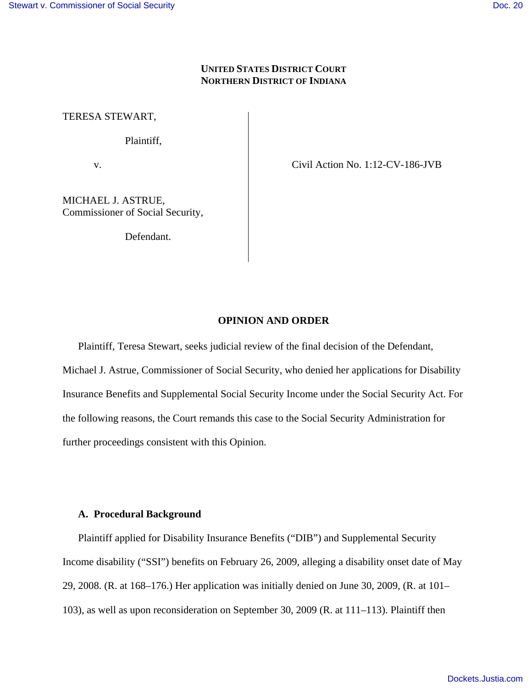# **UNITED STATES DISTRICT COURT NORTHERN DISTRICT OF INDIANA**

TERESA STEWART,

Plaintiff,

v. Civil Action No. 1:12-CV-186-JVB

MICHAEL J. ASTRUE, Commissioner of Social Security,

Defendant.

## **OPINION AND ORDER**

Plaintiff, Teresa Stewart, seeks judicial review of the final decision of the Defendant, Michael J. Astrue, Commissioner of Social Security, who denied her applications for Disability Insurance Benefits and Supplemental Social Security Income under the Social Security Act. For the following reasons, the Court remands this case to the Social Security Administration for further proceedings consistent with this Opinion.

## **A. Procedural Background**

Plaintiff applied for Disability Insurance Benefits ("DIB") and Supplemental Security Income disability ("SSI") benefits on February 26, 2009, alleging a disability onset date of May 29, 2008. (R. at 168–176.) Her application was initially denied on June 30, 2009, (R. at 101– 103), as well as upon reconsideration on September 30, 2009 (R. at 111–113). Plaintiff then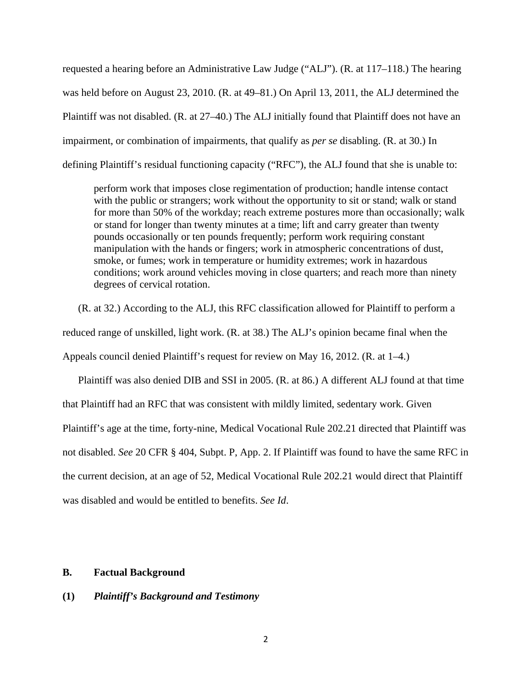requested a hearing before an Administrative Law Judge ("ALJ"). (R. at 117–118.) The hearing was held before on August 23, 2010. (R. at 49–81.) On April 13, 2011, the ALJ determined the Plaintiff was not disabled. (R. at 27–40.) The ALJ initially found that Plaintiff does not have an impairment, or combination of impairments, that qualify as *per se* disabling. (R. at 30.) In defining Plaintiff's residual functioning capacity ("RFC"), the ALJ found that she is unable to:

perform work that imposes close regimentation of production; handle intense contact with the public or strangers; work without the opportunity to sit or stand; walk or stand for more than 50% of the workday; reach extreme postures more than occasionally; walk or stand for longer than twenty minutes at a time; lift and carry greater than twenty pounds occasionally or ten pounds frequently; perform work requiring constant manipulation with the hands or fingers; work in atmospheric concentrations of dust, smoke, or fumes; work in temperature or humidity extremes; work in hazardous conditions; work around vehicles moving in close quarters; and reach more than ninety degrees of cervical rotation.

(R. at 32.) According to the ALJ, this RFC classification allowed for Plaintiff to perform a reduced range of unskilled, light work. (R. at 38.) The ALJ's opinion became final when the Appeals council denied Plaintiff's request for review on May 16, 2012. (R. at 1–4.)

Plaintiff was also denied DIB and SSI in 2005. (R. at 86.) A different ALJ found at that time that Plaintiff had an RFC that was consistent with mildly limited, sedentary work. Given Plaintiff's age at the time, forty-nine, Medical Vocational Rule 202.21 directed that Plaintiff was not disabled. *See* 20 CFR § 404, Subpt. P, App. 2. If Plaintiff was found to have the same RFC in the current decision, at an age of 52, Medical Vocational Rule 202.21 would direct that Plaintiff was disabled and would be entitled to benefits. *See Id*.

## **B. Factual Background**

## **(1)** *Plaintiff's Background and Testimony*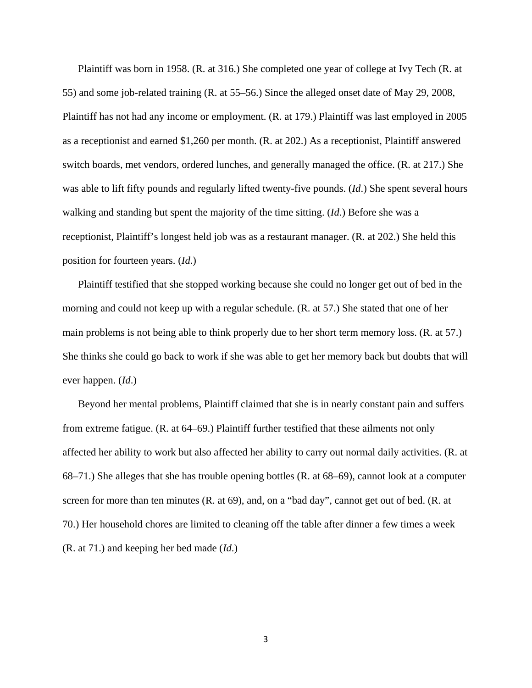Plaintiff was born in 1958. (R. at 316.) She completed one year of college at Ivy Tech (R. at 55) and some job-related training (R. at 55–56.) Since the alleged onset date of May 29, 2008, Plaintiff has not had any income or employment. (R. at 179.) Plaintiff was last employed in 2005 as a receptionist and earned \$1,260 per month. (R. at 202.) As a receptionist, Plaintiff answered switch boards, met vendors, ordered lunches, and generally managed the office. (R. at 217.) She was able to lift fifty pounds and regularly lifted twenty-five pounds. (*Id*.) She spent several hours walking and standing but spent the majority of the time sitting. (*Id*.) Before she was a receptionist, Plaintiff's longest held job was as a restaurant manager. (R. at 202.) She held this position for fourteen years. (*Id*.)

Plaintiff testified that she stopped working because she could no longer get out of bed in the morning and could not keep up with a regular schedule. (R. at 57.) She stated that one of her main problems is not being able to think properly due to her short term memory loss. (R. at 57.) She thinks she could go back to work if she was able to get her memory back but doubts that will ever happen. (*Id*.)

Beyond her mental problems, Plaintiff claimed that she is in nearly constant pain and suffers from extreme fatigue. (R. at 64–69.) Plaintiff further testified that these ailments not only affected her ability to work but also affected her ability to carry out normal daily activities. (R. at 68–71.) She alleges that she has trouble opening bottles (R. at 68–69), cannot look at a computer screen for more than ten minutes (R. at 69), and, on a "bad day", cannot get out of bed. (R. at 70.) Her household chores are limited to cleaning off the table after dinner a few times a week (R. at 71.) and keeping her bed made (*Id*.)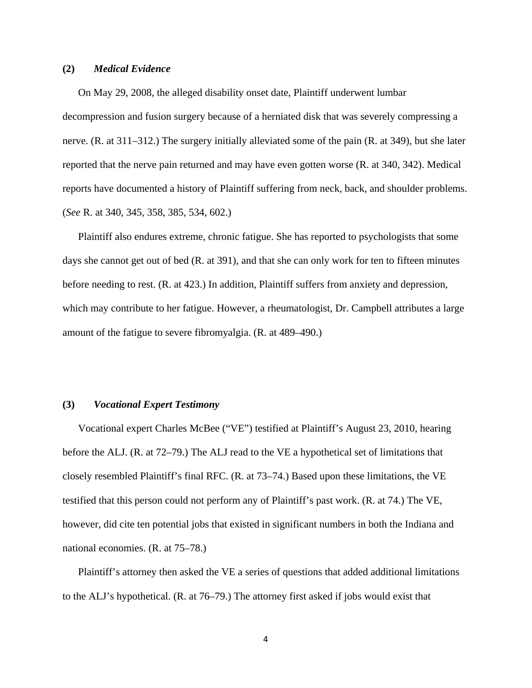## **(2)** *Medical Evidence*

On May 29, 2008, the alleged disability onset date, Plaintiff underwent lumbar decompression and fusion surgery because of a herniated disk that was severely compressing a nerve. (R. at 311–312.) The surgery initially alleviated some of the pain (R. at 349), but she later reported that the nerve pain returned and may have even gotten worse (R. at 340, 342). Medical reports have documented a history of Plaintiff suffering from neck, back, and shoulder problems. (*See* R. at 340, 345, 358, 385, 534, 602.)

Plaintiff also endures extreme, chronic fatigue. She has reported to psychologists that some days she cannot get out of bed (R. at 391), and that she can only work for ten to fifteen minutes before needing to rest. (R. at 423.) In addition, Plaintiff suffers from anxiety and depression, which may contribute to her fatigue. However, a rheumatologist, Dr. Campbell attributes a large amount of the fatigue to severe fibromyalgia. (R. at 489–490.)

## **(3)** *Vocational Expert Testimony*

Vocational expert Charles McBee ("VE") testified at Plaintiff's August 23, 2010, hearing before the ALJ. (R. at 72–79.) The ALJ read to the VE a hypothetical set of limitations that closely resembled Plaintiff's final RFC. (R. at 73–74.) Based upon these limitations, the VE testified that this person could not perform any of Plaintiff's past work. (R. at 74.) The VE, however, did cite ten potential jobs that existed in significant numbers in both the Indiana and national economies. (R. at 75–78.)

Plaintiff's attorney then asked the VE a series of questions that added additional limitations to the ALJ's hypothetical. (R. at 76–79.) The attorney first asked if jobs would exist that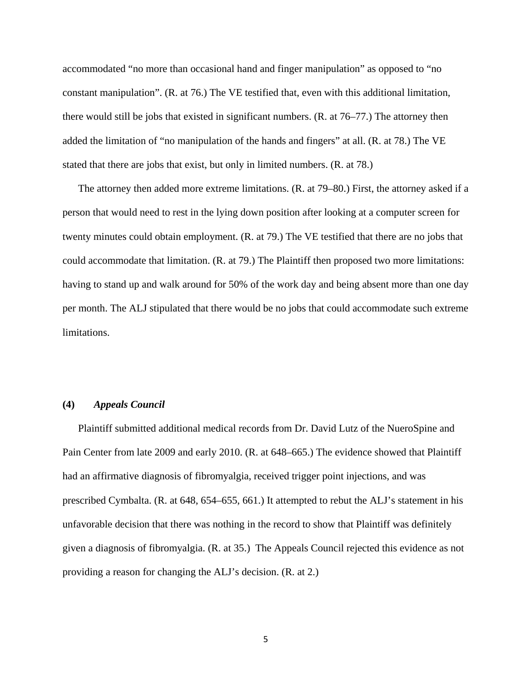accommodated "no more than occasional hand and finger manipulation" as opposed to "no constant manipulation". (R. at 76.) The VE testified that, even with this additional limitation, there would still be jobs that existed in significant numbers. (R. at 76–77.) The attorney then added the limitation of "no manipulation of the hands and fingers" at all. (R. at 78.) The VE stated that there are jobs that exist, but only in limited numbers. (R. at 78.)

The attorney then added more extreme limitations. (R. at 79–80.) First, the attorney asked if a person that would need to rest in the lying down position after looking at a computer screen for twenty minutes could obtain employment. (R. at 79.) The VE testified that there are no jobs that could accommodate that limitation. (R. at 79.) The Plaintiff then proposed two more limitations: having to stand up and walk around for 50% of the work day and being absent more than one day per month. The ALJ stipulated that there would be no jobs that could accommodate such extreme limitations.

## **(4)** *Appeals Council*

Plaintiff submitted additional medical records from Dr. David Lutz of the NueroSpine and Pain Center from late 2009 and early 2010. (R. at 648–665.) The evidence showed that Plaintiff had an affirmative diagnosis of fibromyalgia, received trigger point injections, and was prescribed Cymbalta. (R. at 648, 654–655, 661.) It attempted to rebut the ALJ's statement in his unfavorable decision that there was nothing in the record to show that Plaintiff was definitely given a diagnosis of fibromyalgia. (R. at 35.) The Appeals Council rejected this evidence as not providing a reason for changing the ALJ's decision. (R. at 2.)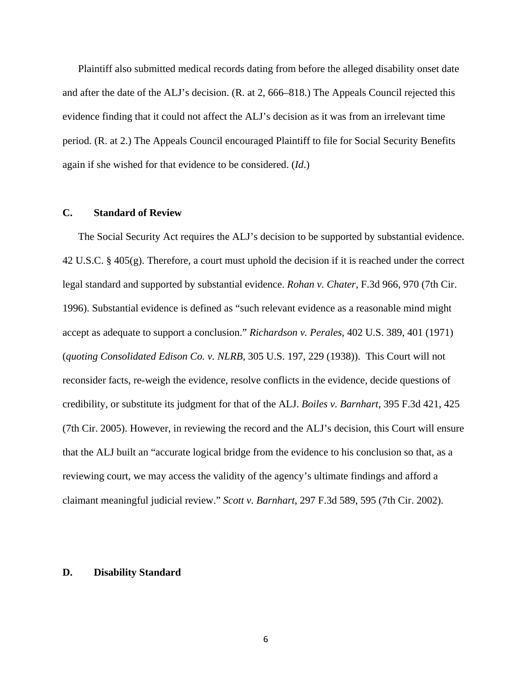Plaintiff also submitted medical records dating from before the alleged disability onset date and after the date of the ALJ's decision. (R. at 2, 666–818.) The Appeals Council rejected this evidence finding that it could not affect the ALJ's decision as it was from an irrelevant time period. (R. at 2.) The Appeals Council encouraged Plaintiff to file for Social Security Benefits again if she wished for that evidence to be considered. (*Id*.)

## **C. Standard of Review**

The Social Security Act requires the ALJ's decision to be supported by substantial evidence. 42 U.S.C. § 405(g). Therefore, a court must uphold the decision if it is reached under the correct legal standard and supported by substantial evidence. *Rohan v. Chater*, F.3d 966, 970 (7th Cir. 1996). Substantial evidence is defined as "such relevant evidence as a reasonable mind might accept as adequate to support a conclusion." *Richardson v. Perales*, 402 U.S. 389, 401 (1971) (*quoting Consolidated Edison Co. v. NLRB*, 305 U.S. 197, 229 (1938)). This Court will not reconsider facts, re-weigh the evidence, resolve conflicts in the evidence, decide questions of credibility, or substitute its judgment for that of the ALJ. *Boiles v. Barnhart*, 395 F.3d 421, 425 (7th Cir. 2005). However, in reviewing the record and the ALJ's decision, this Court will ensure that the ALJ built an "accurate logical bridge from the evidence to his conclusion so that, as a reviewing court, we may access the validity of the agency's ultimate findings and afford a claimant meaningful judicial review." *Scott v. Barnhart*, 297 F.3d 589, 595 (7th Cir. 2002).

## **D. Disability Standard**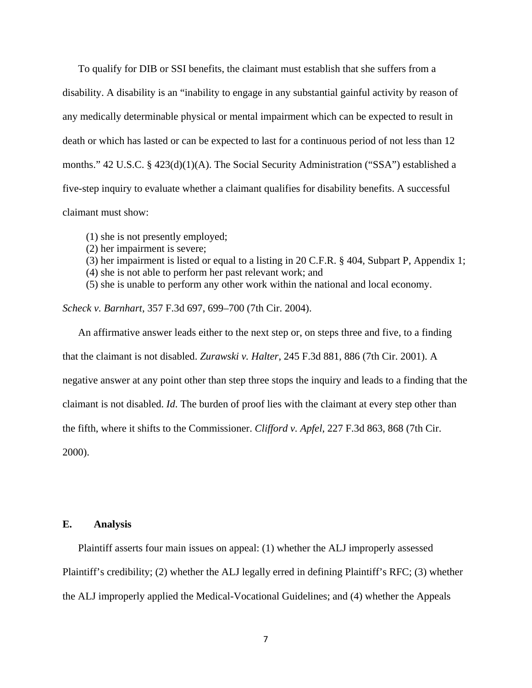To qualify for DIB or SSI benefits, the claimant must establish that she suffers from a disability. A disability is an "inability to engage in any substantial gainful activity by reason of any medically determinable physical or mental impairment which can be expected to result in death or which has lasted or can be expected to last for a continuous period of not less than 12 months." 42 U.S.C. § 423(d)(1)(A). The Social Security Administration ("SSA") established a five-step inquiry to evaluate whether a claimant qualifies for disability benefits. A successful claimant must show:

- (1) she is not presently employed;
- (2) her impairment is severe;
- (3) her impairment is listed or equal to a listing in 20 C.F.R. § 404, Subpart P, Appendix 1;
- (4) she is not able to perform her past relevant work; and
- (5) she is unable to perform any other work within the national and local economy.

*Scheck v. Barnhart*, 357 F.3d 697, 699–700 (7th Cir. 2004).

An affirmative answer leads either to the next step or, on steps three and five, to a finding that the claimant is not disabled. *Zurawski v. Halter*, 245 F.3d 881, 886 (7th Cir. 2001). A negative answer at any point other than step three stops the inquiry and leads to a finding that the claimant is not disabled. *Id*. The burden of proof lies with the claimant at every step other than the fifth, where it shifts to the Commissioner. *Clifford v. Apfel*, 227 F.3d 863, 868 (7th Cir. 2000).

#### **E. Analysis**

Plaintiff asserts four main issues on appeal: (1) whether the ALJ improperly assessed Plaintiff's credibility; (2) whether the ALJ legally erred in defining Plaintiff's RFC; (3) whether the ALJ improperly applied the Medical-Vocational Guidelines; and (4) whether the Appeals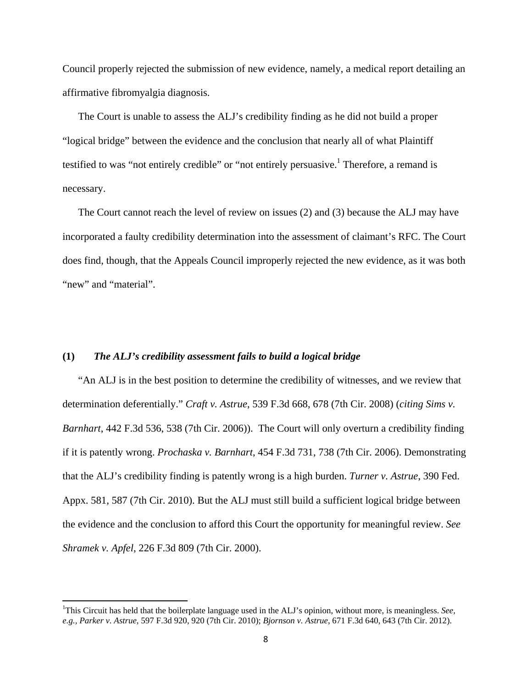Council properly rejected the submission of new evidence, namely, a medical report detailing an affirmative fibromyalgia diagnosis.

The Court is unable to assess the ALJ's credibility finding as he did not build a proper "logical bridge" between the evidence and the conclusion that nearly all of what Plaintiff testified to was "not entirely credible" or "not entirely persuasive.<sup>1</sup> Therefore, a remand is necessary.

The Court cannot reach the level of review on issues (2) and (3) because the ALJ may have incorporated a faulty credibility determination into the assessment of claimant's RFC. The Court does find, though, that the Appeals Council improperly rejected the new evidence, as it was both "new" and "material".

## **(1)** *The ALJ's credibility assessment fails to build a logical bridge*

"An ALJ is in the best position to determine the credibility of witnesses, and we review that determination deferentially." *Craft v. Astrue*, 539 F.3d 668, 678 (7th Cir. 2008) (*citing Sims v. Barnhart*, 442 F.3d 536, 538 (7th Cir. 2006)). The Court will only overturn a credibility finding if it is patently wrong. *Prochaska v. Barnhart*, 454 F.3d 731, 738 (7th Cir. 2006). Demonstrating that the ALJ's credibility finding is patently wrong is a high burden. *Turner v. Astrue*, 390 Fed. Appx. 581, 587 (7th Cir. 2010). But the ALJ must still build a sufficient logical bridge between the evidence and the conclusion to afford this Court the opportunity for meaningful review. *See Shramek v. Apfel*, 226 F.3d 809 (7th Cir. 2000).

<sup>&</sup>lt;sup>1</sup>This Circuit has held that the boilerplate language used in the ALJ's opinion, without more, is meaningless. See, *e.g., Parker v. Astrue*, 597 F.3d 920, 920 (7th Cir. 2010); *Bjornson v. Astrue*, 671 F.3d 640, 643 (7th Cir. 2012).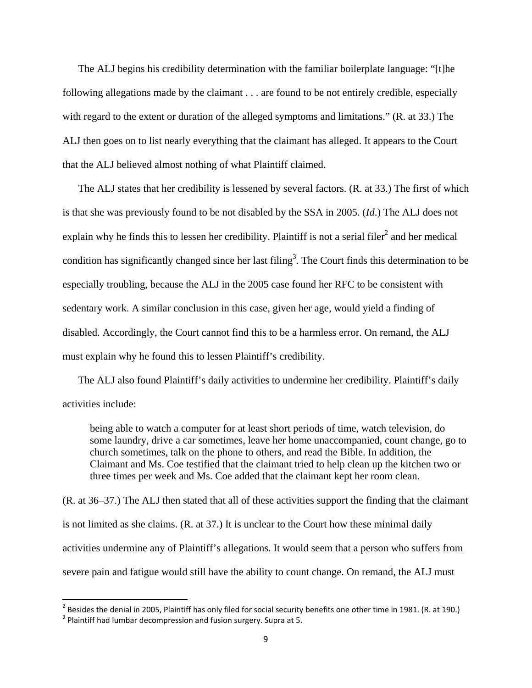The ALJ begins his credibility determination with the familiar boilerplate language: "[t]he following allegations made by the claimant . . . are found to be not entirely credible, especially with regard to the extent or duration of the alleged symptoms and limitations." (R. at 33.) The ALJ then goes on to list nearly everything that the claimant has alleged. It appears to the Court that the ALJ believed almost nothing of what Plaintiff claimed.

The ALJ states that her credibility is lessened by several factors. (R. at 33.) The first of which is that she was previously found to be not disabled by the SSA in 2005. (*Id*.) The ALJ does not explain why he finds this to lessen her credibility. Plaintiff is not a serial filer<sup>2</sup> and her medical condition has significantly changed since her last filing<sup>3</sup>. The Court finds this determination to be especially troubling, because the ALJ in the 2005 case found her RFC to be consistent with sedentary work. A similar conclusion in this case, given her age, would yield a finding of disabled. Accordingly, the Court cannot find this to be a harmless error. On remand, the ALJ must explain why he found this to lessen Plaintiff's credibility.

The ALJ also found Plaintiff's daily activities to undermine her credibility. Plaintiff's daily activities include:

being able to watch a computer for at least short periods of time, watch television, do some laundry, drive a car sometimes, leave her home unaccompanied, count change, go to church sometimes, talk on the phone to others, and read the Bible. In addition, the Claimant and Ms. Coe testified that the claimant tried to help clean up the kitchen two or three times per week and Ms. Coe added that the claimant kept her room clean.

(R. at 36–37.) The ALJ then stated that all of these activities support the finding that the claimant is not limited as she claims. (R. at 37.) It is unclear to the Court how these minimal daily activities undermine any of Plaintiff's allegations. It would seem that a person who suffers from severe pain and fatigue would still have the ability to count change. On remand, the ALJ must

 2 Besides the denial in 2005, Plaintiff has only filed for social security benefits one other time in 1981. (R. at 190.)

 $3$  Plaintiff had lumbar decompression and fusion surgery. Supra at 5.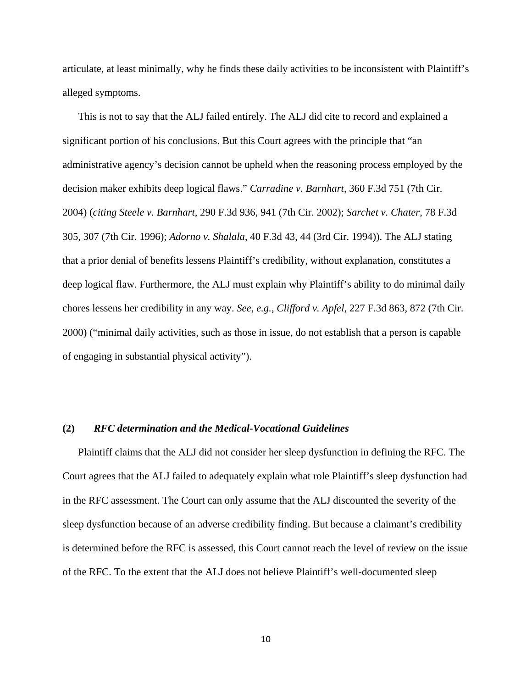articulate, at least minimally, why he finds these daily activities to be inconsistent with Plaintiff's alleged symptoms.

This is not to say that the ALJ failed entirely. The ALJ did cite to record and explained a significant portion of his conclusions. But this Court agrees with the principle that "an administrative agency's decision cannot be upheld when the reasoning process employed by the decision maker exhibits deep logical flaws." *Carradine v. Barnhart*, 360 F.3d 751 (7th Cir. 2004) (*citing Steele v. Barnhart*, 290 F.3d 936, 941 (7th Cir. 2002); *Sarchet v. Chater*, 78 F.3d 305, 307 (7th Cir. 1996); *Adorno v. Shalala*, 40 F.3d 43, 44 (3rd Cir. 1994)). The ALJ stating that a prior denial of benefits lessens Plaintiff's credibility, without explanation, constitutes a deep logical flaw. Furthermore, the ALJ must explain why Plaintiff's ability to do minimal daily chores lessens her credibility in any way. *See, e.g., Clifford v. Apfel*, 227 F.3d 863, 872 (7th Cir. 2000) ("minimal daily activities, such as those in issue, do not establish that a person is capable of engaging in substantial physical activity").

## **(2)** *RFC determination and the Medical-Vocational Guidelines*

Plaintiff claims that the ALJ did not consider her sleep dysfunction in defining the RFC. The Court agrees that the ALJ failed to adequately explain what role Plaintiff's sleep dysfunction had in the RFC assessment. The Court can only assume that the ALJ discounted the severity of the sleep dysfunction because of an adverse credibility finding. But because a claimant's credibility is determined before the RFC is assessed, this Court cannot reach the level of review on the issue of the RFC. To the extent that the ALJ does not believe Plaintiff's well-documented sleep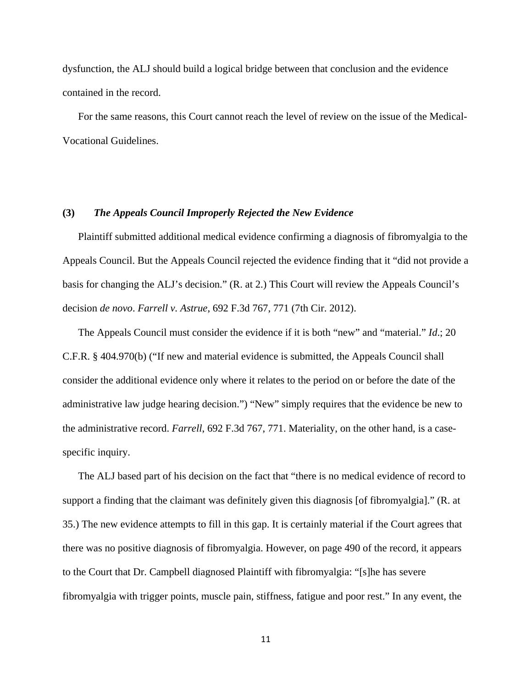dysfunction, the ALJ should build a logical bridge between that conclusion and the evidence contained in the record.

For the same reasons, this Court cannot reach the level of review on the issue of the Medical-Vocational Guidelines.

## **(3)** *The Appeals Council Improperly Rejected the New Evidence*

Plaintiff submitted additional medical evidence confirming a diagnosis of fibromyalgia to the Appeals Council. But the Appeals Council rejected the evidence finding that it "did not provide a basis for changing the ALJ's decision." (R. at 2.) This Court will review the Appeals Council's decision *de novo*. *Farrell v. Astrue*, 692 F.3d 767, 771 (7th Cir. 2012).

The Appeals Council must consider the evidence if it is both "new" and "material." *Id*.; 20 C.F.R. § 404.970(b) ("If new and material evidence is submitted, the Appeals Council shall consider the additional evidence only where it relates to the period on or before the date of the administrative law judge hearing decision.") "New" simply requires that the evidence be new to the administrative record. *Farrell*, 692 F.3d 767, 771. Materiality, on the other hand, is a casespecific inquiry.

The ALJ based part of his decision on the fact that "there is no medical evidence of record to support a finding that the claimant was definitely given this diagnosis [of fibromyalgia]." (R. at 35.) The new evidence attempts to fill in this gap. It is certainly material if the Court agrees that there was no positive diagnosis of fibromyalgia. However, on page 490 of the record, it appears to the Court that Dr. Campbell diagnosed Plaintiff with fibromyalgia: "[s]he has severe fibromyalgia with trigger points, muscle pain, stiffness, fatigue and poor rest." In any event, the